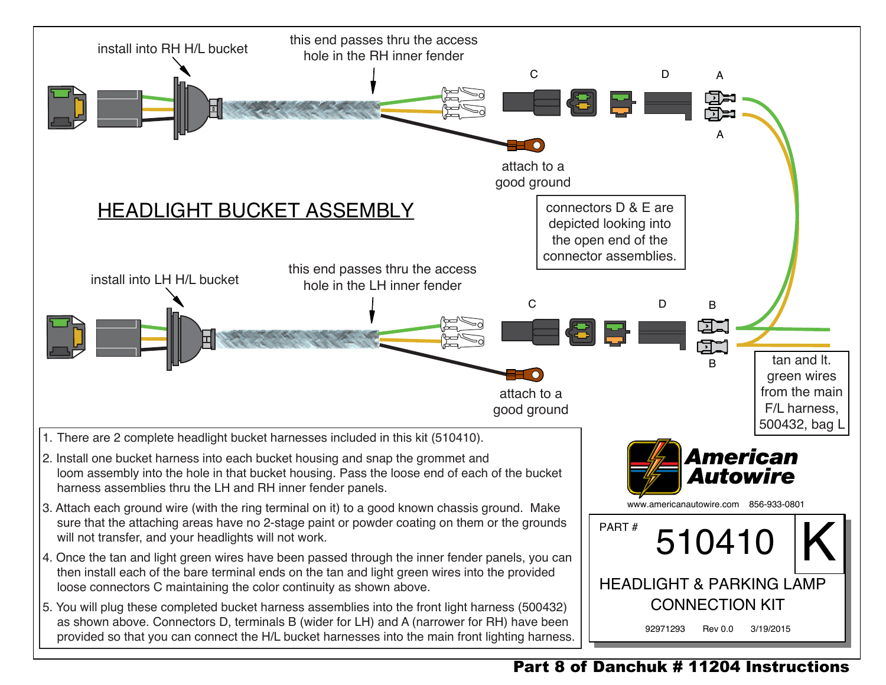

## Part 8 of Danchuk # 11204 Instructions